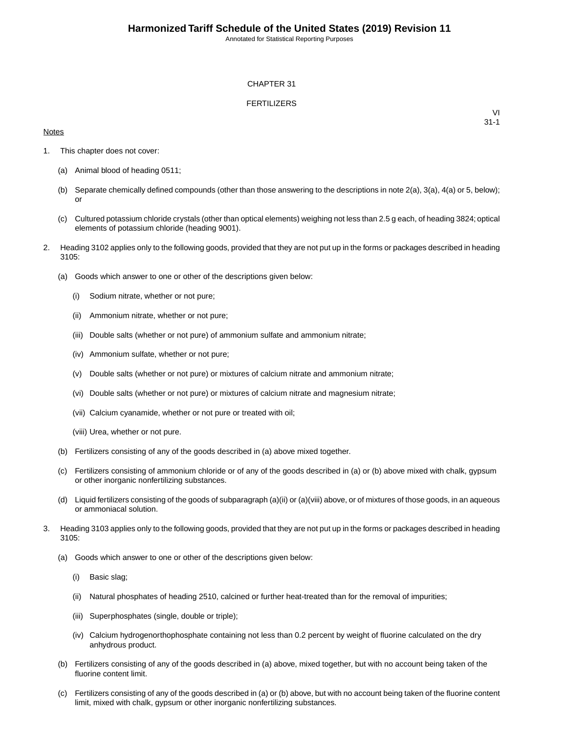Annotated for Statistical Reporting Purposes

### CHAPTER 31

### FERTILIZERS

### **Notes**

VI 31-1

- 1. This chapter does not cover:
	- (a) Animal blood of heading 0511;
	- (b) Separate chemically defined compounds (other than those answering to the descriptions in note 2(a), 3(a), 4(a) or 5, below); or
	- (c) Cultured potassium chloride crystals (other than optical elements) weighing not less than 2.5 g each, of heading 3824; optical elements of potassium chloride (heading 9001).
- 2. Heading 3102 applies only to the following goods, provided that they are not put up in the forms or packages described in heading 3105:
	- (a) Goods which answer to one or other of the descriptions given below:
		- (i) Sodium nitrate, whether or not pure;
		- (ii) Ammonium nitrate, whether or not pure;
		- (iii) Double salts (whether or not pure) of ammonium sulfate and ammonium nitrate;
		- (iv) Ammonium sulfate, whether or not pure;
		- (v) Double salts (whether or not pure) or mixtures of calcium nitrate and ammonium nitrate;
		- (vi) Double salts (whether or not pure) or mixtures of calcium nitrate and magnesium nitrate;
		- (vii) Calcium cyanamide, whether or not pure or treated with oil;
		- (viii) Urea, whether or not pure.
	- (b) Fertilizers consisting of any of the goods described in (a) above mixed together.
	- (c) Fertilizers consisting of ammonium chloride or of any of the goods described in (a) or (b) above mixed with chalk, gypsum or other inorganic nonfertilizing substances.
	- (d) Liquid fertilizers consisting of the goods of subparagraph (a)(ii) or (a)(viii) above, or of mixtures of those goods, in an aqueous or ammoniacal solution.
- 3. Heading 3103 applies only to the following goods, provided that they are not put up in the forms or packages described in heading 3105:
	- (a) Goods which answer to one or other of the descriptions given below:
		- (i) Basic slag;
		- (ii) Natural phosphates of heading 2510, calcined or further heat-treated than for the removal of impurities;
		- (iii) Superphosphates (single, double or triple);
		- (iv) Calcium hydrogenorthophosphate containing not less than 0.2 percent by weight of fluorine calculated on the dry anhydrous product.
	- (b) Fertilizers consisting of any of the goods described in (a) above, mixed together, but with no account being taken of the fluorine content limit.
	- (c) Fertilizers consisting of any of the goods described in (a) or (b) above, but with no account being taken of the fluorine content limit, mixed with chalk, gypsum or other inorganic nonfertilizing substances.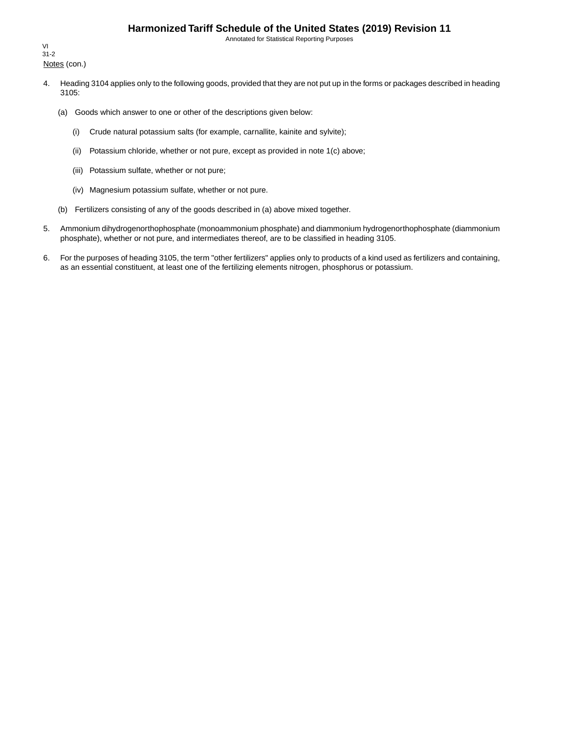## **Harmonized Tariff Schedule of the United States (2019) Revision 11**

Annotated for Statistical Reporting Purposes

Notes (con.) VI 31-2

- 4. Heading 3104 applies only to the following goods, provided that they are not put up in the forms or packages described in heading 3105:
	- (a) Goods which answer to one or other of the descriptions given below:
		- (i) Crude natural potassium salts (for example, carnallite, kainite and sylvite);
		- (ii) Potassium chloride, whether or not pure, except as provided in note 1(c) above;
		- (iii) Potassium sulfate, whether or not pure;
		- (iv) Magnesium potassium sulfate, whether or not pure.
	- (b) Fertilizers consisting of any of the goods described in (a) above mixed together.
- 5. Ammonium dihydrogenorthophosphate (monoammonium phosphate) and diammonium hydrogenorthophosphate (diammonium phosphate), whether or not pure, and intermediates thereof, are to be classified in heading 3105.
- 6. For the purposes of heading 3105, the term "other fertilizers" applies only to products of a kind used as fertilizers and containing, as an essential constituent, at least one of the fertilizing elements nitrogen, phosphorus or potassium.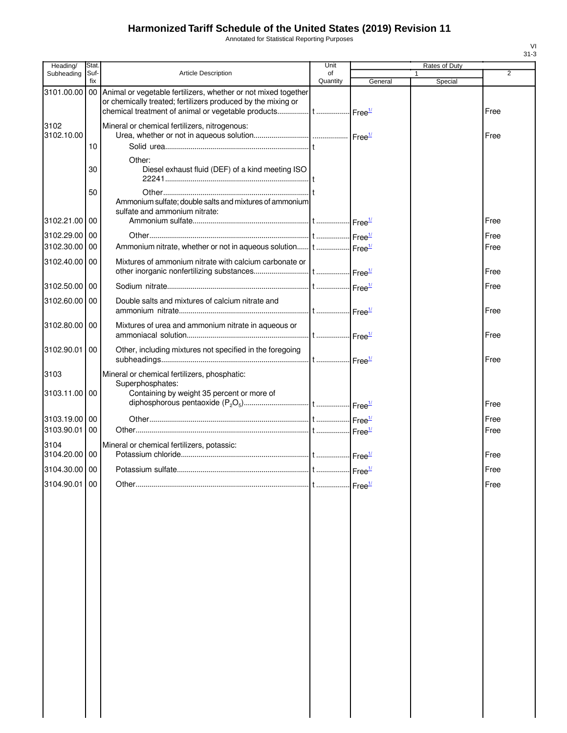# **Harmonized Tariff Schedule of the United States (2019) Revision 11**

Annotated for Statistical Reporting Purposes

| Heading/              | Stat.       |                                                                                                                                   | Unit           | Rates of Duty      |                         |      |
|-----------------------|-------------|-----------------------------------------------------------------------------------------------------------------------------------|----------------|--------------------|-------------------------|------|
| Subheading            | Suf-<br>fix | <b>Article Description</b>                                                                                                        | of<br>Quantity | General            | $\mathbf{1}$<br>Special | 2    |
| 3101.00.00            |             | 00 Animal or vegetable fertilizers, whether or not mixed together<br>or chemically treated; fertilizers produced by the mixing or |                |                    |                         | Free |
| 3102<br>3102.10.00    |             | Mineral or chemical fertilizers, nitrogenous:                                                                                     |                |                    |                         | Free |
|                       | 10          |                                                                                                                                   |                |                    |                         |      |
|                       | 30          | Other:<br>Diesel exhaust fluid (DEF) of a kind meeting ISO                                                                        |                |                    |                         |      |
|                       | 50          | Ammonium sulfate; double salts and mixtures of ammonium<br>sulfate and ammonium nitrate:                                          |                |                    |                         |      |
| 3102.21.00 00         |             |                                                                                                                                   |                |                    |                         | Free |
| 3102.29.00 00         |             |                                                                                                                                   |                |                    |                         | Free |
| 3102.30.00 00         |             | Ammonium nitrate, whether or not in aqueous solution t  Free <sup>14</sup>                                                        |                |                    |                         | Free |
| 3102.40.00 00         |             | Mixtures of ammonium nitrate with calcium carbonate or                                                                            |                |                    |                         | Free |
| 3102.50.00 00         |             |                                                                                                                                   |                |                    |                         | Free |
| 3102.60.00 00         |             | Double salts and mixtures of calcium nitrate and                                                                                  |                |                    |                         | Free |
| 3102.80.00 00         |             | Mixtures of urea and ammonium nitrate in aqueous or                                                                               |                |                    |                         | Free |
| 3102.90.01            | 00          | Other, including mixtures not specified in the foregoing                                                                          |                |                    |                         | Free |
| 3103                  |             | Mineral or chemical fertilizers, phosphatic:<br>Superphosphates:                                                                  |                |                    |                         |      |
| 3103.11.00 00         |             | Containing by weight 35 percent or more of                                                                                        |                |                    |                         | Free |
| 3103.19.00 00         |             |                                                                                                                                   |                |                    |                         | Free |
| 3103.90.01            | 00          |                                                                                                                                   |                |                    |                         | Free |
| 3104<br>3104.20.00 00 |             | Mineral or chemical fertilizers, potassic:                                                                                        |                |                    |                         | Free |
| 3104.30.00 00         |             |                                                                                                                                   |                |                    |                         | Free |
| 3104.90.01 00         |             |                                                                                                                                   |                | Free $\frac{1}{2}$ |                         | Free |
|                       |             |                                                                                                                                   |                |                    |                         |      |

VI 31-3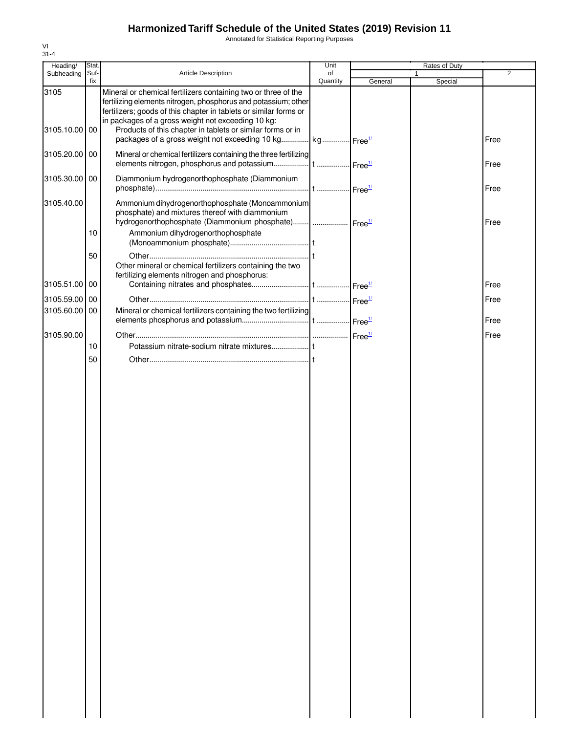# **Harmonized Tariff Schedule of the United States (2019) Revision 11**

Annotated for Statistical Reporting Purposes

| Heading/           | Stat.       |                                                                                                                                                                                                                                                                                                                           | Unit           |         | Rates of Duty |      |
|--------------------|-------------|---------------------------------------------------------------------------------------------------------------------------------------------------------------------------------------------------------------------------------------------------------------------------------------------------------------------------|----------------|---------|---------------|------|
| Subheading         | Suf-<br>fix | Article Description                                                                                                                                                                                                                                                                                                       | of<br>Quantity | General | 1<br>Special  | 2    |
| 3105<br>3105.10.00 | 00          | Mineral or chemical fertilizers containing two or three of the<br>fertilizing elements nitrogen, phosphorus and potassium; other<br>fertilizers; goods of this chapter in tablets or similar forms or<br>in packages of a gross weight not exceeding 10 kg:<br>Products of this chapter in tablets or similar forms or in |                |         |               |      |
|                    |             | packages of a gross weight not exceeding 10 kg kg Free <sup>1/</sup>                                                                                                                                                                                                                                                      |                |         |               | Free |
| 3105.20.00         | 00          | Mineral or chemical fertilizers containing the three fertilizing                                                                                                                                                                                                                                                          |                |         |               | Free |
| 3105.30.00         | 00          | Diammonium hydrogenorthophosphate (Diammonium                                                                                                                                                                                                                                                                             |                |         |               | Free |
| 3105.40.00         |             | Ammonium dihydrogenorthophosphate (Monoammonium<br>phosphate) and mixtures thereof with diammonium<br>hydrogenorthophosphate (Diammonium phosphate)  Free <sup>1/</sup>                                                                                                                                                   |                |         |               | Free |
|                    | 10          | Ammonium dihydrogenorthophosphate                                                                                                                                                                                                                                                                                         |                |         |               |      |
|                    | 50          | Other mineral or chemical fertilizers containing the two<br>fertilizing elements nitrogen and phosphorus:                                                                                                                                                                                                                 |                |         |               |      |
| 3105.51.00         | 00          |                                                                                                                                                                                                                                                                                                                           |                |         |               | Free |
| 3105.59.00         | 00          |                                                                                                                                                                                                                                                                                                                           |                |         |               | Free |
| 3105.60.00         | 00          | Mineral or chemical fertilizers containing the two fertilizing                                                                                                                                                                                                                                                            |                |         |               | Free |
| 3105.90.00         |             |                                                                                                                                                                                                                                                                                                                           |                |         |               | Free |
|                    | 10          |                                                                                                                                                                                                                                                                                                                           |                |         |               |      |
|                    | 50          |                                                                                                                                                                                                                                                                                                                           |                |         |               |      |
|                    |             |                                                                                                                                                                                                                                                                                                                           |                |         |               |      |
|                    |             |                                                                                                                                                                                                                                                                                                                           |                |         |               |      |
|                    |             |                                                                                                                                                                                                                                                                                                                           |                |         |               |      |
|                    |             |                                                                                                                                                                                                                                                                                                                           |                |         |               |      |
|                    |             |                                                                                                                                                                                                                                                                                                                           |                |         |               |      |
|                    |             |                                                                                                                                                                                                                                                                                                                           |                |         |               |      |
|                    |             |                                                                                                                                                                                                                                                                                                                           |                |         |               |      |
|                    |             |                                                                                                                                                                                                                                                                                                                           |                |         |               |      |
|                    |             |                                                                                                                                                                                                                                                                                                                           |                |         |               |      |
|                    |             |                                                                                                                                                                                                                                                                                                                           |                |         |               |      |
|                    |             |                                                                                                                                                                                                                                                                                                                           |                |         |               |      |
|                    |             |                                                                                                                                                                                                                                                                                                                           |                |         |               |      |
|                    |             |                                                                                                                                                                                                                                                                                                                           |                |         |               |      |
|                    |             |                                                                                                                                                                                                                                                                                                                           |                |         |               |      |
|                    |             |                                                                                                                                                                                                                                                                                                                           |                |         |               |      |
|                    |             |                                                                                                                                                                                                                                                                                                                           |                |         |               |      |
|                    |             |                                                                                                                                                                                                                                                                                                                           |                |         |               |      |
|                    |             |                                                                                                                                                                                                                                                                                                                           |                |         |               |      |
|                    |             |                                                                                                                                                                                                                                                                                                                           |                |         |               |      |
|                    |             |                                                                                                                                                                                                                                                                                                                           |                |         |               |      |
|                    |             |                                                                                                                                                                                                                                                                                                                           |                |         |               |      |
|                    |             |                                                                                                                                                                                                                                                                                                                           |                |         |               |      |
|                    |             |                                                                                                                                                                                                                                                                                                                           |                |         |               |      |
|                    |             |                                                                                                                                                                                                                                                                                                                           |                |         |               |      |
|                    |             |                                                                                                                                                                                                                                                                                                                           |                |         |               |      |
|                    |             |                                                                                                                                                                                                                                                                                                                           |                |         |               |      |
|                    |             |                                                                                                                                                                                                                                                                                                                           |                |         |               |      |
|                    |             |                                                                                                                                                                                                                                                                                                                           |                |         |               |      |

VI 31-4